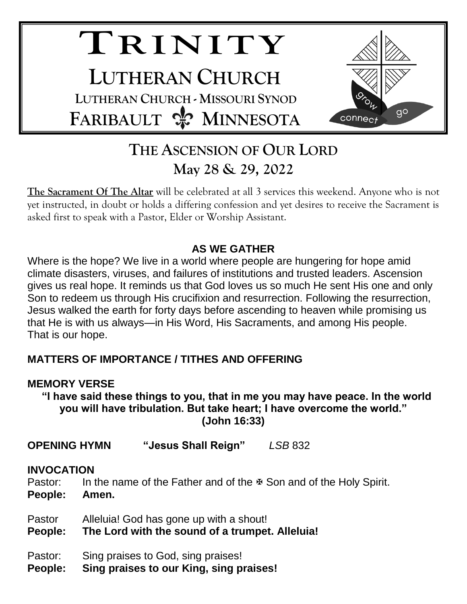

# **THE ASCENSION OF OUR LORD May 28 & 29, 2022**

**The Sacrament Of The Altar** will be celebrated at all 3 services this weekend. Anyone who is not yet instructed, in doubt or holds a differing confession and yet desires to receive the Sacrament is asked first to speak with a Pastor, Elder or Worship Assistant.

## **AS WE GATHER**

Where is the hope? We live in a world where people are hungering for hope amid climate disasters, viruses, and failures of institutions and trusted leaders. Ascension gives us real hope. It reminds us that God loves us so much He sent His one and only Son to redeem us through His crucifixion and resurrection. Following the resurrection, Jesus walked the earth for forty days before ascending to heaven while promising us that He is with us always—in His Word, His Sacraments, and among His people. That is our hope.

# **MATTERS OF IMPORTANCE / TITHES AND OFFERING**

### **MEMORY VERSE**

**"I have said these things to you, that in me you may have peace. In the world you will have tribulation. But take heart; I have overcome the world." (John 16:33)**

**OPENING HYMN "Jesus Shall Reign"** *LSB* 832

### **INVOCATION**

Pastor: In the name of the Father and of the  $\Phi$  Son and of the Holy Spirit.

**People: Amen.**

- Pastor Alleluia! God has gone up with a shout!
- **People: The Lord with the sound of a trumpet. Alleluia!**
- Pastor: Sing praises to God, sing praises!
- **People: Sing praises to our King, sing praises!**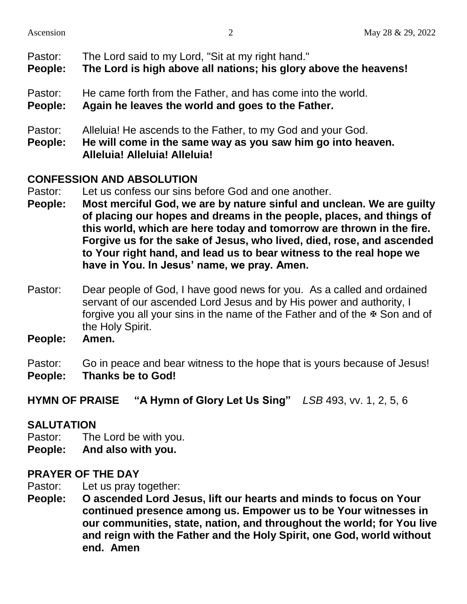- Pastor: The Lord said to my Lord, "Sit at my right hand."
- **People: The Lord is high above all nations; his glory above the heavens!**
- Pastor: He came forth from the Father, and has come into the world.
- **People: Again he leaves the world and goes to the Father.**
- Pastor: Alleluia! He ascends to the Father, to my God and your God.
- **People: He will come in the same way as you saw him go into heaven. Alleluia! Alleluia! Alleluia!**

# **CONFESSION AND ABSOLUTION**

- Pastor: Let us confess our sins before God and one another.
- **People: Most merciful God, we are by nature sinful and unclean. We are guilty of placing our hopes and dreams in the people, places, and things of this world, which are here today and tomorrow are thrown in the fire. Forgive us for the sake of Jesus, who lived, died, rose, and ascended to Your right hand, and lead us to bear witness to the real hope we have in You. In Jesus' name, we pray. Amen.**
- Pastor: Dear people of God, I have good news for you. As a called and ordained servant of our ascended Lord Jesus and by His power and authority, I forgive you all your sins in the name of the Father and of the  $\mathbb F$  Son and of the Holy Spirit.
- **People: Amen.**

Pastor: Go in peace and bear witness to the hope that is yours because of Jesus! **People: Thanks be to God!**

**HYMN OF PRAISE "A Hymn of Glory Let Us Sing"** *LSB* 493, vv. 1, 2, 5, 6

# **SALUTATION**

- Pastor: The Lord be with you.
- **People: And also with you.**

# **PRAYER OF THE DAY**

- Pastor: Let us pray together:
- **People: O ascended Lord Jesus, lift our hearts and minds to focus on Your continued presence among us. Empower us to be Your witnesses in our communities, state, nation, and throughout the world; for You live and reign with the Father and the Holy Spirit, one God, world without end. Amen**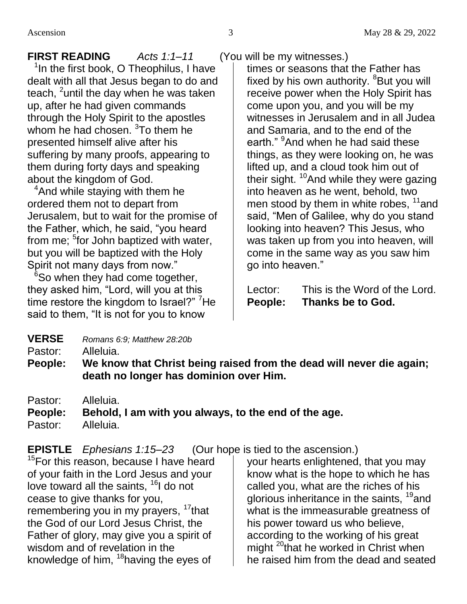<sup>1</sup>In the first book, O Theophilus, I have dealt with all that Jesus began to do and teach, <sup>2</sup>until the day when he was taken up, after he had given commands through the Holy Spirit to the apostles whom he had chosen. <sup>3</sup>To them he presented himself alive after his suffering by many proofs, appearing to them during forty days and speaking about the kingdom of God.

<sup>4</sup>And while staying with them he ordered them not to depart from Jerusalem, but to wait for the promise of the Father, which, he said, "you heard from me; <sup>5</sup>for John baptized with water, but you will be baptized with the Holy Spirit not many days from now."

 $6$ So when they had come together, they asked him, "Lord, will you at this time restore the kingdom to Israel?" <sup>7</sup>He said to them, "It is not for you to know

**FIRST READING** *Acts 1:1–11* (You will be my witnesses.)

times or seasons that the Father has fixed by his own authority.  ${}^{8}$ But you will receive power when the Holy Spirit has come upon you, and you will be my witnesses in Jerusalem and in all Judea and Samaria, and to the end of the earth." <sup>9</sup>And when he had said these things, as they were looking on, he was lifted up, and a cloud took him out of their sight.  $10A$ nd while they were gazing into heaven as he went, behold, two men stood by them in white robes,  $11$  and said, "Men of Galilee, why do you stand looking into heaven? This Jesus, who was taken up from you into heaven, will come in the same way as you saw him go into heaven."

Lector: This is the Word of the Lord. **People: Thanks be to God.**

**VERSE** *Romans 6:9; Matthew 28:20b*

Pastor: Alleluia.

**People: We know that Christ being raised from the dead will never die again; death no longer has dominion over Him.**

Pastor: Alleluia.

**People: Behold, I am with you always, to the end of the age.**

Pastor: Alleluia.

**EPISTLE** *Ephesians 1:15–23* (Our hope is tied to the ascension.)

<sup>15</sup>For this reason, because I have heard of your faith in the Lord Jesus and your love toward all the saints, <sup>16</sup>I do not cease to give thanks for you, remembering you in my prayers,  $17$ that the God of our Lord Jesus Christ, the Father of glory, may give you a spirit of wisdom and of revelation in the knowledge of him,  $18$ having the eyes of

your hearts enlightened, that you may know what is the hope to which he has called you, what are the riches of his glorious inheritance in the saints, <sup>19</sup>and what is the immeasurable greatness of his power toward us who believe, according to the working of his great might <sup>20</sup>that he worked in Christ when he raised him from the dead and seated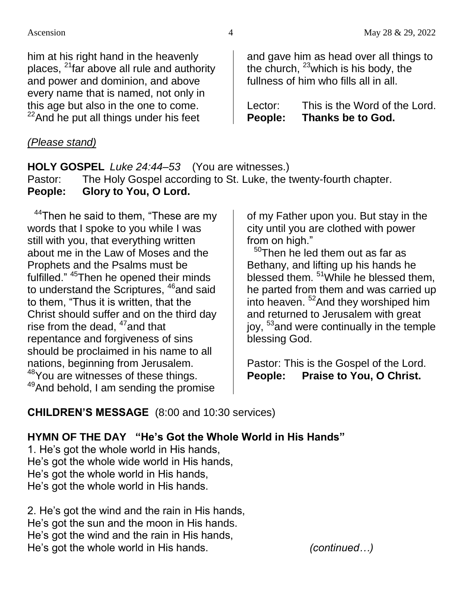him at his right hand in the heavenly places,  $^{21}$ far above all rule and authority and power and dominion, and above every name that is named, not only in this age but also in the one to come.  $22$ And he put all things under his feet

### *(Please stand)*

**HOLY GOSPEL** *Luke 24:44–53* (You are witnesses.) Pastor: The Holy Gospel according to St. Luke, the twenty-fourth chapter. **People: Glory to You, O Lord.**

<sup>44</sup>Then he said to them, "These are my words that I spoke to you while I was still with you, that everything written about me in the Law of Moses and the Prophets and the Psalms must be fulfilled." <sup>45</sup>Then he opened their minds to understand the Scriptures, <sup>46</sup>and said to them, "Thus it is written, that the Christ should suffer and on the third day rise from the dead,  $47$  and that repentance and forgiveness of sins should be proclaimed in his name to all nations, beginning from Jerusalem. 48You are witnesses of these things.  $49$ And behold, I am sending the promise

of my Father upon you. But stay in the city until you are clothed with power from on high."

<sup>50</sup>Then he led them out as far as Bethany, and lifting up his hands he blessed them. <sup>51</sup>While he blessed them, he parted from them and was carried up into heaven. <sup>52</sup>And they worshiped him and returned to Jerusalem with great joy, <sup>53</sup> and were continually in the temple blessing God.

Pastor: This is the Gospel of the Lord. **People: Praise to You, O Christ.**

# **CHILDREN'S MESSAGE** (8:00 and 10:30 services)

### **HYMN OF THE DAY "He's Got the Whole World in His Hands"**

1. He's got the whole world in His hands, He's got the whole wide world in His hands, He's got the whole world in His hands, He's got the whole world in His hands.

2. He's got the wind and the rain in His hands, He's got the sun and the moon in His hands. He's got the wind and the rain in His hands, He's got the whole world in His hands. *(continued…)*

and gave him as head over all things to the church,  $23$  which is his body, the fullness of him who fills all in all.

Lector: This is the Word of the Lord. **People: Thanks be to God.**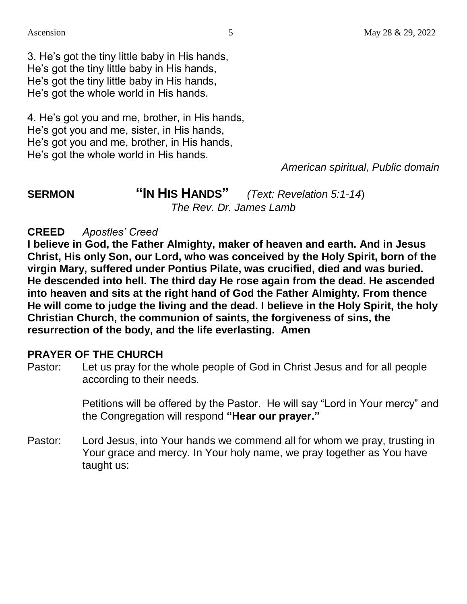3. He's got the tiny little baby in His hands, He's got the tiny little baby in His hands, He's got the tiny little baby in His hands, He's got the whole world in His hands.

4. He's got you and me, brother, in His hands, He's got you and me, sister, in His hands, He's got you and me, brother, in His hands, He's got the whole world in His hands.

*American spiritual, Public domain*

**SERMON "IN HIS HANDS"** *(Text: Revelation 5:1-14*) *The Rev. Dr. James Lamb*

**CREED** *Apostles' Creed*

**I believe in God, the Father Almighty, maker of heaven and earth. And in Jesus Christ, His only Son, our Lord, who was conceived by the Holy Spirit, born of the virgin Mary, suffered under Pontius Pilate, was crucified, died and was buried. He descended into hell. The third day He rose again from the dead. He ascended into heaven and sits at the right hand of God the Father Almighty. From thence He will come to judge the living and the dead. I believe in the Holy Spirit, the holy Christian Church, the communion of saints, the forgiveness of sins, the resurrection of the body, and the life everlasting. Amen**

### **PRAYER OF THE CHURCH**

Pastor: Let us pray for the whole people of God in Christ Jesus and for all people according to their needs.

> Petitions will be offered by the Pastor. He will say "Lord in Your mercy" and the Congregation will respond **"Hear our prayer."**

Pastor: Lord Jesus, into Your hands we commend all for whom we pray, trusting in Your grace and mercy. In Your holy name, we pray together as You have taught us: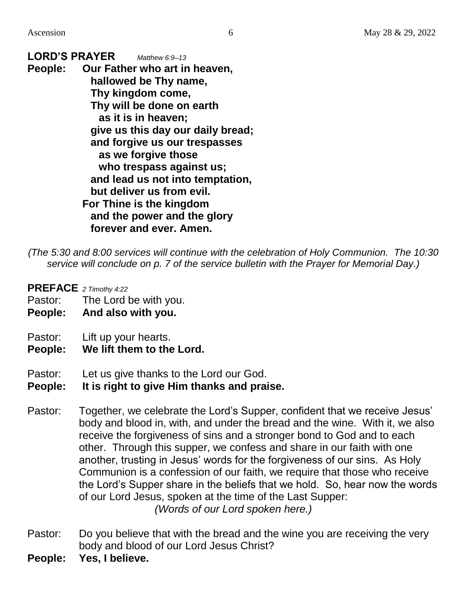# **LORD'S PRAYER** *Matthew 6:9–13*

**People: Our Father who art in heaven, hallowed be Thy name, Thy kingdom come, Thy will be done on earth as it is in heaven; give us this day our daily bread; and forgive us our trespasses as we forgive those who trespass against us; and lead us not into temptation, but deliver us from evil. For Thine is the kingdom and the power and the glory forever and ever. Amen.**

*(The 5:30 and 8:00 services will continue with the celebration of Holy Communion. The 10:30 service will conclude on p. 7 of the service bulletin with the Prayer for Memorial Day.)*

### **PREFACE** *2 Timothy 4:22*

- Pastor: The Lord be with you.
- **People: And also with you.**
- Pastor: Lift up your hearts.
- **People: We lift them to the Lord.**

### Pastor: Let us give thanks to the Lord our God.

### **People: It is right to give Him thanks and praise.**

- Pastor: Together, we celebrate the Lord's Supper, confident that we receive Jesus' body and blood in, with, and under the bread and the wine. With it, we also receive the forgiveness of sins and a stronger bond to God and to each other. Through this supper, we confess and share in our faith with one another, trusting in Jesus' words for the forgiveness of our sins. As Holy Communion is a confession of our faith, we require that those who receive the Lord's Supper share in the beliefs that we hold. So, hear now the words of our Lord Jesus, spoken at the time of the Last Supper: *(Words of our Lord spoken here.)*
- Pastor: Do you believe that with the bread and the wine you are receiving the very body and blood of our Lord Jesus Christ?
- **People: Yes, I believe.**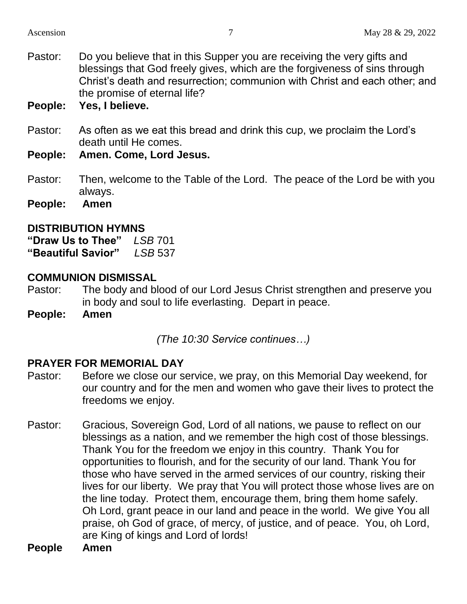- Pastor: Do you believe that in this Supper you are receiving the very gifts and blessings that God freely gives, which are the forgiveness of sins through Christ's death and resurrection; communion with Christ and each other; and the promise of eternal life?
- **People: Yes, I believe.**
- Pastor: As often as we eat this bread and drink this cup, we proclaim the Lord's death until He comes.
- **People: Amen. Come, Lord Jesus.**
- Pastor: Then, welcome to the Table of the Lord. The peace of the Lord be with you always.
- **People: Amen**

### **DISTRIBUTION HYMNS**

**"Draw Us to Thee"** *LSB* 701 **"Beautiful Savior"** *LSB* 537

### **COMMUNION DISMISSAL**

- Pastor: The body and blood of our Lord Jesus Christ strengthen and preserve you in body and soul to life everlasting. Depart in peace.
- **People: Amen**

*(The 10:30 Service continues…)*

### **PRAYER FOR MEMORIAL DAY**

- Pastor: Before we close our service, we pray, on this Memorial Day weekend, for our country and for the men and women who gave their lives to protect the freedoms we enjoy.
- Pastor: Gracious, Sovereign God, Lord of all nations, we pause to reflect on our blessings as a nation, and we remember the high cost of those blessings. Thank You for the freedom we enjoy in this country. Thank You for opportunities to flourish, and for the security of our land. Thank You for those who have served in the armed services of our country, risking their lives for our liberty. We pray that You will protect those whose lives are on the line today. Protect them, encourage them, bring them home safely. Oh Lord, grant peace in our land and peace in the world. We give You all praise, oh God of grace, of mercy, of justice, and of peace. You, oh Lord, are King of kings and Lord of lords!
- **People Amen**